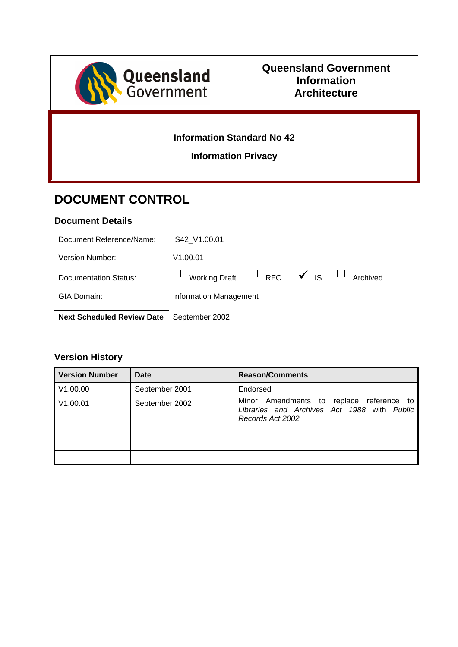

#### **Information Standard No 42**

**Information Privacy** 

### **DOCUMENT CONTROL**

#### **Document Details**

| <b>Next Scheduled Review Date</b> | September 2002                                           |
|-----------------------------------|----------------------------------------------------------|
| GIA Domain:                       | <b>Information Management</b>                            |
| Documentation Status:             | Working Draft $\Box$ RFC $\checkmark$ IS $\Box$ Archived |
| Version Number:                   | V1.00.01                                                 |
| Document Reference/Name:          | IS42 V1.00.01                                            |

#### **Version History**

| <b>Version Number</b> | Date           | <b>Reason/Comments</b>                                                                                      |
|-----------------------|----------------|-------------------------------------------------------------------------------------------------------------|
| V1.00.00              | September 2001 | Endorsed                                                                                                    |
| V1.00.01              | September 2002 | Minor Amendments to replace reference to<br>Libraries and Archives Act 1988 with Public<br>Records Act 2002 |
|                       |                |                                                                                                             |
|                       |                |                                                                                                             |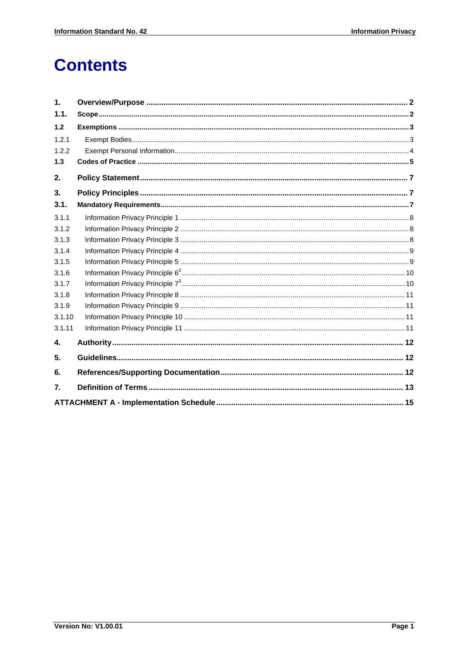# **Contents**

| $\mathbf{1}$ . |  |
|----------------|--|
| 1.1.           |  |
| 1.2            |  |
| 1.2.1          |  |
| 1.2.2          |  |
| 1.3            |  |
| 2.             |  |
| 3.             |  |
| 3.1.           |  |
| 3.1.1          |  |
| 3.1.2          |  |
| 3.1.3          |  |
| 3.1.4          |  |
| 3.1.5          |  |
| 3.1.6          |  |
| 3.1.7          |  |
| 3.1.8          |  |
| 3.1.9          |  |
| 3.1.10         |  |
| 3.1.11         |  |
| $\mathbf{4}$   |  |
| 5.             |  |
| 6.             |  |
| 7.             |  |
|                |  |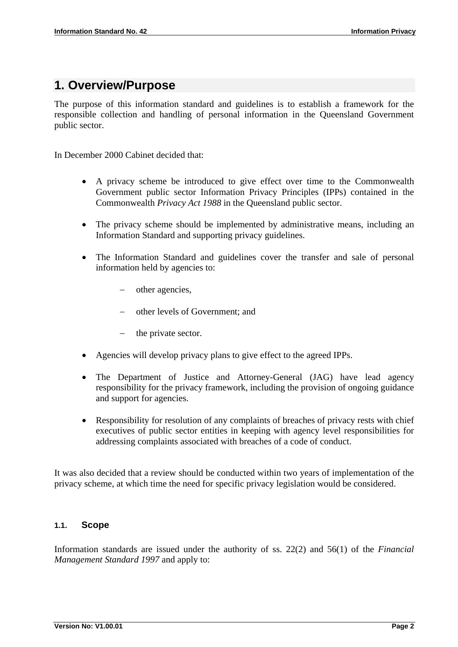### **1. Overview/Purpose**

The purpose of this information standard and guidelines is to establish a framework for the responsible collection and handling of personal information in the Queensland Government public sector.

In December 2000 Cabinet decided that:

- A privacy scheme be introduced to give effect over time to the Commonwealth Government public sector Information Privacy Principles (IPPs) contained in the Commonwealth *Privacy Act 1988* in the Queensland public sector.
- The privacy scheme should be implemented by administrative means, including an Information Standard and supporting privacy guidelines.
- The Information Standard and guidelines cover the transfer and sale of personal information held by agencies to:
	- − other agencies,
	- − other levels of Government; and
	- − the private sector.
- Agencies will develop privacy plans to give effect to the agreed IPPs.
- The Department of Justice and Attorney-General (JAG) have lead agency responsibility for the privacy framework, including the provision of ongoing guidance and support for agencies.
- Responsibility for resolution of any complaints of breaches of privacy rests with chief executives of public sector entities in keeping with agency level responsibilities for addressing complaints associated with breaches of a code of conduct.

It was also decided that a review should be conducted within two years of implementation of the privacy scheme, at which time the need for specific privacy legislation would be considered.

#### **1.1. Scope**

Information standards are issued under the authority of ss. 22(2) and 56(1) of the *Financial Management Standard 1997* and apply to: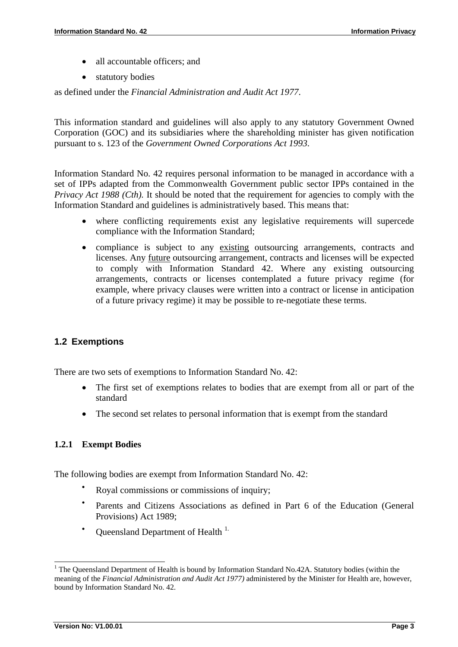- all accountable officers; and
- statutory bodies

as defined under the *Financial Administration and Audit Act 1977*.

This information standard and guidelines will also apply to any statutory Government Owned Corporation (GOC) and its subsidiaries where the shareholding minister has given notification pursuant to s. 123 of the *Government Owned Corporations Act 1993*.

Information Standard No. 42 requires personal information to be managed in accordance with a set of IPPs adapted from the Commonwealth Government public sector IPPs contained in the *Privacy Act 1988 (Cth).* It should be noted that the requirement for agencies to comply with the Information Standard and guidelines is administratively based. This means that:

- where conflicting requirements exist any legislative requirements will supercede compliance with the Information Standard;
- compliance is subject to any existing outsourcing arrangements, contracts and licenses. Any future outsourcing arrangement, contracts and licenses will be expected to comply with Information Standard 42. Where any existing outsourcing arrangements, contracts or licenses contemplated a future privacy regime (for example, where privacy clauses were written into a contract or license in anticipation of a future privacy regime) it may be possible to re-negotiate these terms.

#### **1.2 Exemptions**

There are two sets of exemptions to Information Standard No. 42:

- The first set of exemptions relates to bodies that are exempt from all or part of the standard
- The second set relates to personal information that is exempt from the standard

#### **1.2.1 Exempt Bodies**

The following bodies are exempt from Information Standard No. 42:

- Royal commissions or commissions of inquiry;
- Parents and Citizens Associations as defined in Part 6 of the Education (General Provisions) Act 1989;
- Queensland Department of Health<sup>1.</sup>

l

<sup>&</sup>lt;sup>1</sup> The Queensland Department of Health is bound by Information Standard No.42A. Statutory bodies (within the meaning of the *Financial Administration and Audit Act 1977)* administered by the Minister for Health are, however, bound by Information Standard No. 42.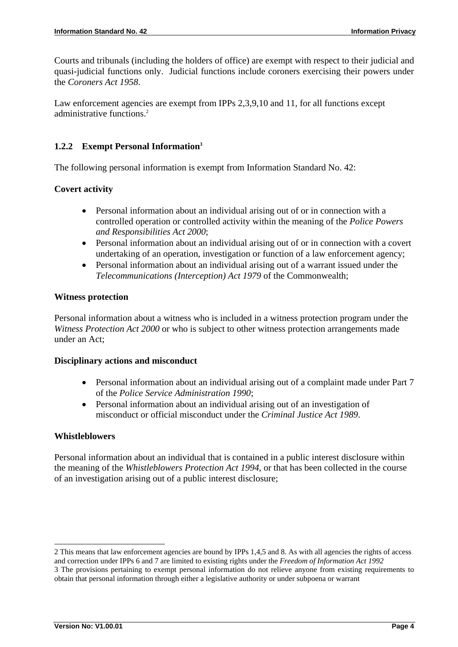Courts and tribunals (including the holders of office) are exempt with respect to their judicial and quasi-judicial functions only. Judicial functions include coroners exercising their powers under the *Coroners Act 1958*.

Law enforcement agencies are exempt from IPPs 2,3,9,10 and 11, for all functions except administrative functions.<sup>2</sup>

#### **1.2.2 Exempt Personal Information3**

The following personal information is exempt from Information Standard No. 42:

#### **Covert activity**

- Personal information about an individual arising out of or in connection with a controlled operation or controlled activity within the meaning of the *Police Powers and Responsibilities Act 2000*;
- Personal information about an individual arising out of or in connection with a covert undertaking of an operation, investigation or function of a law enforcement agency;
- Personal information about an individual arising out of a warrant issued under the *Telecommunications (Interception) Act 1979* of the Commonwealth;

#### **Witness protection**

Personal information about a witness who is included in a witness protection program under the *Witness Protection Act 2000* or who is subject to other witness protection arrangements made under an Act;

#### **Disciplinary actions and misconduct**

- Personal information about an individual arising out of a complaint made under Part 7 of the *Police Service Administration 1990*;
- Personal information about an individual arising out of an investigation of misconduct or official misconduct under the *Criminal Justice Act 1989*.

#### **Whistleblowers**

Personal information about an individual that is contained in a public interest disclosure within the meaning of the *Whistleblowers Protection Act 1994*, or that has been collected in the course of an investigation arising out of a public interest disclosure;

 $\overline{a}$ 

<sup>2</sup> This means that law enforcement agencies are bound by IPPs 1,4,5 and 8. As with all agencies the rights of access and correction under IPPs 6 and 7 are limited to existing rights under the *Freedom of Information Act 1992* 

<sup>3</sup> The provisions pertaining to exempt personal information do not relieve anyone from existing requirements to obtain that personal information through either a legislative authority or under subpoena or warrant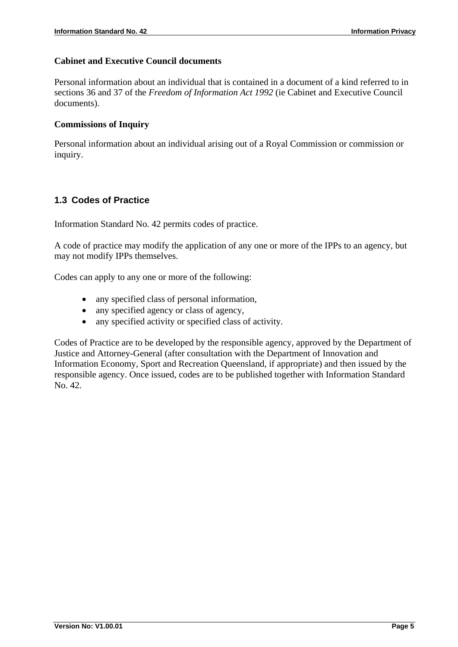#### **Cabinet and Executive Council documents**

Personal information about an individual that is contained in a document of a kind referred to in sections 36 and 37 of the *Freedom of Information Act 1992* (ie Cabinet and Executive Council documents).

#### **Commissions of Inquiry**

Personal information about an individual arising out of a Royal Commission or commission or inquiry.

#### **1.3 Codes of Practice**

Information Standard No. 42 permits codes of practice.

A code of practice may modify the application of any one or more of the IPPs to an agency, but may not modify IPPs themselves.

Codes can apply to any one or more of the following:

- any specified class of personal information,
- any specified agency or class of agency,
- any specified activity or specified class of activity.

Codes of Practice are to be developed by the responsible agency, approved by the Department of Justice and Attorney-General (after consultation with the Department of Innovation and Information Economy, Sport and Recreation Queensland, if appropriate) and then issued by the responsible agency. Once issued, codes are to be published together with Information Standard No. 42.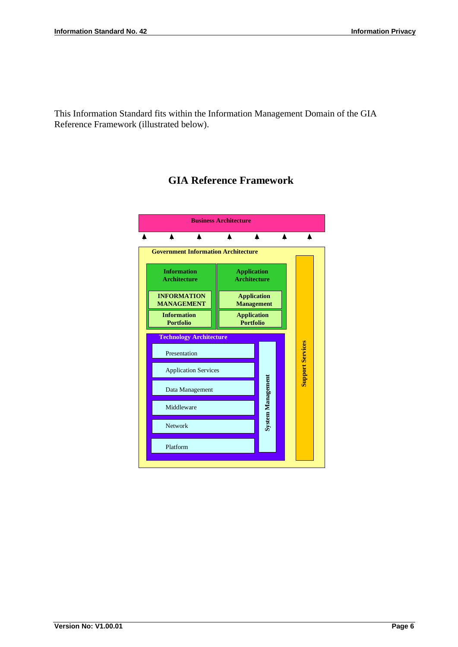This Information Standard fits within the Information Management Domain of the GIA Reference Framework (illustrated below).

#### **GIA Reference Framework**

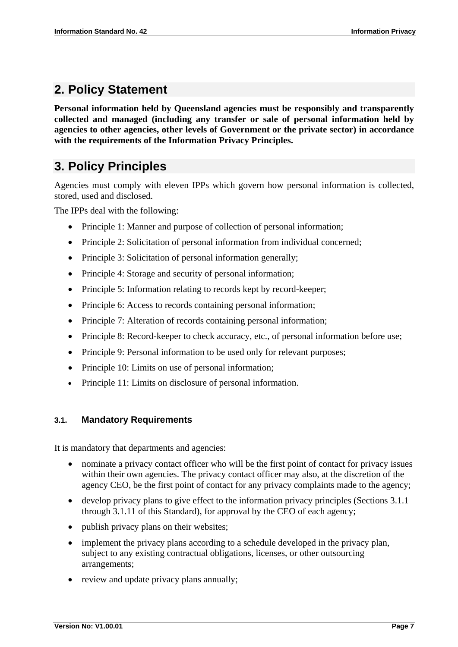### **2. Policy Statement**

**Personal information held by Queensland agencies must be responsibly and transparently collected and managed (including any transfer or sale of personal information held by agencies to other agencies, other levels of Government or the private sector) in accordance with the requirements of the Information Privacy Principles.** 

### **3. Policy Principles**

Agencies must comply with eleven IPPs which govern how personal information is collected, stored, used and disclosed.

The IPPs deal with the following:

- Principle 1: Manner and purpose of collection of personal information;
- Principle 2: Solicitation of personal information from individual concerned;
- Principle 3: Solicitation of personal information generally;
- Principle 4: Storage and security of personal information;
- Principle 5: Information relating to records kept by record-keeper;
- Principle 6: Access to records containing personal information;
- Principle 7: Alteration of records containing personal information;
- Principle 8: Record-keeper to check accuracy, etc., of personal information before use;
- Principle 9: Personal information to be used only for relevant purposes;
- Principle 10: Limits on use of personal information;
- Principle 11: Limits on disclosure of personal information.

#### **3.1. Mandatory Requirements**

It is mandatory that departments and agencies:

- nominate a privacy contact officer who will be the first point of contact for privacy issues within their own agencies. The privacy contact officer may also, at the discretion of the agency CEO, be the first point of contact for any privacy complaints made to the agency;
- develop privacy plans to give effect to the information privacy principles (Sections 3.1.1) through 3.1.11 of this Standard), for approval by the CEO of each agency;
- publish privacy plans on their websites;
- implement the privacy plans according to a schedule developed in the privacy plan, subject to any existing contractual obligations, licenses, or other outsourcing arrangements;
- review and update privacy plans annually;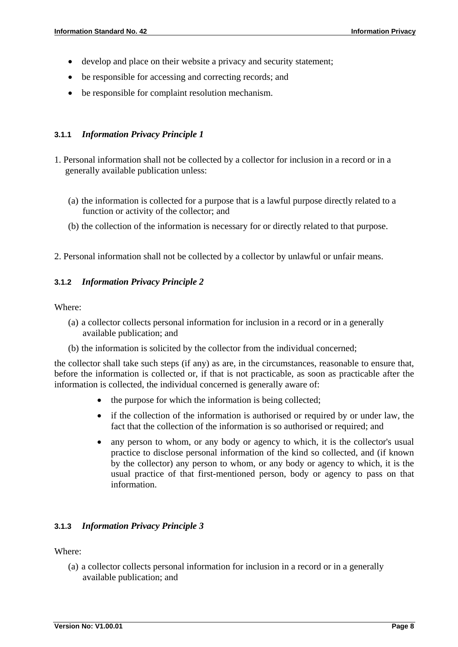- develop and place on their website a privacy and security statement;
- be responsible for accessing and correcting records; and
- be responsible for complaint resolution mechanism.

#### **3.1.1** *Information Privacy Principle 1*

- 1. Personal information shall not be collected by a collector for inclusion in a record or in a generally available publication unless:
	- (a) the information is collected for a purpose that is a lawful purpose directly related to a function or activity of the collector; and
	- (b) the collection of the information is necessary for or directly related to that purpose.
- 2. Personal information shall not be collected by a collector by unlawful or unfair means.

#### **3.1.2** *Information Privacy Principle 2*

Where:

- (a) a collector collects personal information for inclusion in a record or in a generally available publication; and
- (b) the information is solicited by the collector from the individual concerned;

the collector shall take such steps (if any) as are, in the circumstances, reasonable to ensure that, before the information is collected or, if that is not practicable, as soon as practicable after the information is collected, the individual concerned is generally aware of:

- the purpose for which the information is being collected;
- if the collection of the information is authorised or required by or under law, the fact that the collection of the information is so authorised or required; and
- any person to whom, or any body or agency to which, it is the collector's usual practice to disclose personal information of the kind so collected, and (if known by the collector) any person to whom, or any body or agency to which, it is the usual practice of that first-mentioned person, body or agency to pass on that information.

#### **3.1.3** *Information Privacy Principle 3*

Where:

(a) a collector collects personal information for inclusion in a record or in a generally available publication; and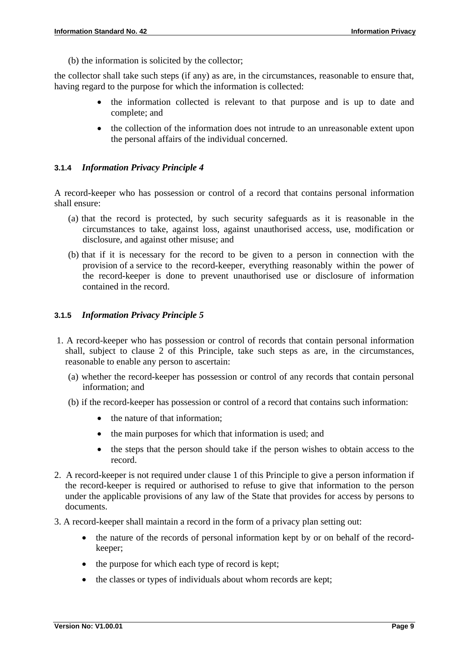(b) the information is solicited by the collector;

the collector shall take such steps (if any) as are, in the circumstances, reasonable to ensure that, having regard to the purpose for which the information is collected:

- the information collected is relevant to that purpose and is up to date and complete; and
- the collection of the information does not intrude to an unreasonable extent upon the personal affairs of the individual concerned.

#### **3.1.4** *Information Privacy Principle 4*

A record-keeper who has possession or control of a record that contains personal information shall ensure:

- (a) that the record is protected, by such security safeguards as it is reasonable in the circumstances to take, against loss, against unauthorised access, use, modification or disclosure, and against other misuse; and
- (b) that if it is necessary for the record to be given to a person in connection with the provision of a service to the record-keeper, everything reasonably within the power of the record-keeper is done to prevent unauthorised use or disclosure of information contained in the record.

#### **3.1.5** *Information Privacy Principle 5*

- 1. A record-keeper who has possession or control of records that contain personal information shall, subject to clause 2 of this Principle, take such steps as are, in the circumstances, reasonable to enable any person to ascertain:
	- (a) whether the record-keeper has possession or control of any records that contain personal information; and
	- (b) if the record-keeper has possession or control of a record that contains such information:
		- the nature of that information:
		- the main purposes for which that information is used; and
		- the steps that the person should take if the person wishes to obtain access to the record.
- 2. A record-keeper is not required under clause 1 of this Principle to give a person information if the record-keeper is required or authorised to refuse to give that information to the person under the applicable provisions of any law of the State that provides for access by persons to documents.
- 3. A record-keeper shall maintain a record in the form of a privacy plan setting out:
	- the nature of the records of personal information kept by or on behalf of the recordkeeper;
	- the purpose for which each type of record is kept;
	- the classes or types of individuals about whom records are kept;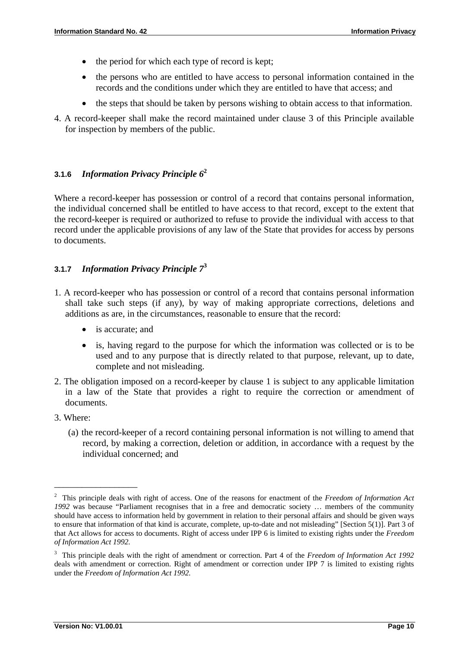- the period for which each type of record is kept;
- the persons who are entitled to have access to personal information contained in the records and the conditions under which they are entitled to have that access; and
- the steps that should be taken by persons wishing to obtain access to that information.
- 4. A record-keeper shall make the record maintained under clause 3 of this Principle available for inspection by members of the public.

#### **3.1.6** *Information Privacy Principle 6***<sup>2</sup>**

Where a record-keeper has possession or control of a record that contains personal information, the individual concerned shall be entitled to have access to that record, except to the extent that the record-keeper is required or authorized to refuse to provide the individual with access to that record under the applicable provisions of any law of the State that provides for access by persons to documents.

#### **3.1.7** *Information Privacy Principle 7***<sup>3</sup>**

- 1. A record-keeper who has possession or control of a record that contains personal information shall take such steps (if any), by way of making appropriate corrections, deletions and additions as are, in the circumstances, reasonable to ensure that the record:
	- is accurate; and
	- is, having regard to the purpose for which the information was collected or is to be used and to any purpose that is directly related to that purpose, relevant, up to date, complete and not misleading.
- 2. The obligation imposed on a record-keeper by clause 1 is subject to any applicable limitation in a law of the State that provides a right to require the correction or amendment of documents.
- 3. Where:

\_\_\_\_\_\_\_\_\_\_\_\_\_\_\_\_\_\_

(a) the record-keeper of a record containing personal information is not willing to amend that record, by making a correction, deletion or addition, in accordance with a request by the individual concerned; and

<sup>2</sup> This principle deals with right of access. One of the reasons for enactment of the *Freedom of Information Act 1992* was because "Parliament recognises that in a free and democratic society … members of the community should have access to information held by government in relation to their personal affairs and should be given ways to ensure that information of that kind is accurate, complete, up-to-date and not misleading" [Section 5(1)]. Part 3 of that Act allows for access to documents. Right of access under IPP 6 is limited to existing rights under the *Freedom of Information Act 1992.* 

<sup>3</sup> This principle deals with the right of amendment or correction. Part 4 of the *Freedom of Information Act 1992* deals with amendment or correction. Right of amendment or correction under IPP 7 is limited to existing rights under the *Freedom of Information Act 1992.*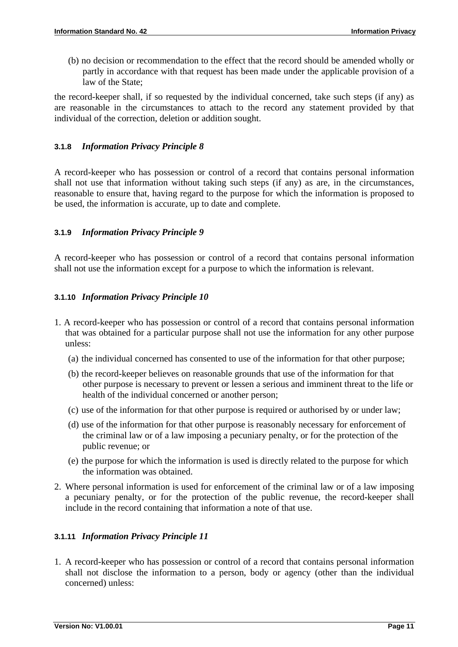(b) no decision or recommendation to the effect that the record should be amended wholly or partly in accordance with that request has been made under the applicable provision of a law of the State;

the record-keeper shall, if so requested by the individual concerned, take such steps (if any) as are reasonable in the circumstances to attach to the record any statement provided by that individual of the correction, deletion or addition sought.

#### **3.1.8** *Information Privacy Principle 8*

A record-keeper who has possession or control of a record that contains personal information shall not use that information without taking such steps (if any) as are, in the circumstances, reasonable to ensure that, having regard to the purpose for which the information is proposed to be used, the information is accurate, up to date and complete.

#### **3.1.9** *Information Privacy Principle 9*

A record-keeper who has possession or control of a record that contains personal information shall not use the information except for a purpose to which the information is relevant.

#### **3.1.10** *Information Privacy Principle 10*

- 1. A record-keeper who has possession or control of a record that contains personal information that was obtained for a particular purpose shall not use the information for any other purpose unless:
	- (a) the individual concerned has consented to use of the information for that other purpose;
	- (b) the record-keeper believes on reasonable grounds that use of the information for that other purpose is necessary to prevent or lessen a serious and imminent threat to the life or health of the individual concerned or another person;
	- (c) use of the information for that other purpose is required or authorised by or under law;
	- (d) use of the information for that other purpose is reasonably necessary for enforcement of the criminal law or of a law imposing a pecuniary penalty, or for the protection of the public revenue; or
	- (e) the purpose for which the information is used is directly related to the purpose for which the information was obtained.
- 2. Where personal information is used for enforcement of the criminal law or of a law imposing a pecuniary penalty, or for the protection of the public revenue, the record-keeper shall include in the record containing that information a note of that use.

#### **3.1.11** *Information Privacy Principle 11*

1. A record-keeper who has possession or control of a record that contains personal information shall not disclose the information to a person, body or agency (other than the individual concerned) unless: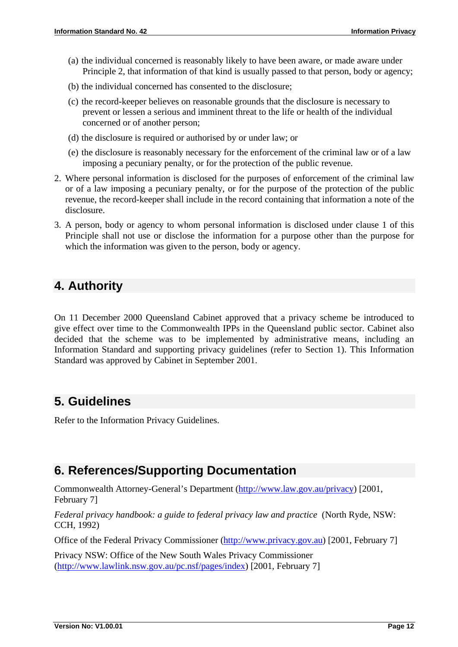- (a) the individual concerned is reasonably likely to have been aware, or made aware under Principle 2, that information of that kind is usually passed to that person, body or agency;
- (b) the individual concerned has consented to the disclosure;
- (c) the record-keeper believes on reasonable grounds that the disclosure is necessary to prevent or lessen a serious and imminent threat to the life or health of the individual concerned or of another person;
- (d) the disclosure is required or authorised by or under law; or
- (e) the disclosure is reasonably necessary for the enforcement of the criminal law or of a law imposing a pecuniary penalty, or for the protection of the public revenue.
- 2. Where personal information is disclosed for the purposes of enforcement of the criminal law or of a law imposing a pecuniary penalty, or for the purpose of the protection of the public revenue, the record-keeper shall include in the record containing that information a note of the disclosure.
- 3. A person, body or agency to whom personal information is disclosed under clause 1 of this Principle shall not use or disclose the information for a purpose other than the purpose for which the information was given to the person, body or agency.

### **4. Authority**

On 11 December 2000 Queensland Cabinet approved that a privacy scheme be introduced to give effect over time to the Commonwealth IPPs in the Queensland public sector. Cabinet also decided that the scheme was to be implemented by administrative means, including an Information Standard and supporting privacy guidelines (refer to Section 1). This Information Standard was approved by Cabinet in September 2001.

### **5. Guidelines**

Refer to the Information Privacy Guidelines.

### **6. References/Supporting Documentation**

Commonwealth Attorney-General's Department (http://www.law.gov.au/privacy) [2001, February 7]

*Federal privacy handbook: a guide to federal privacy law and practice* (North Ryde, NSW: CCH, 1992)

Office of the Federal Privacy Commissioner (http://www.privacy.gov.au) [2001, February 7]

Privacy NSW: Office of the New South Wales Privacy Commissioner (http://www.lawlink.nsw.gov.au/pc.nsf/pages/index) [2001, February 7]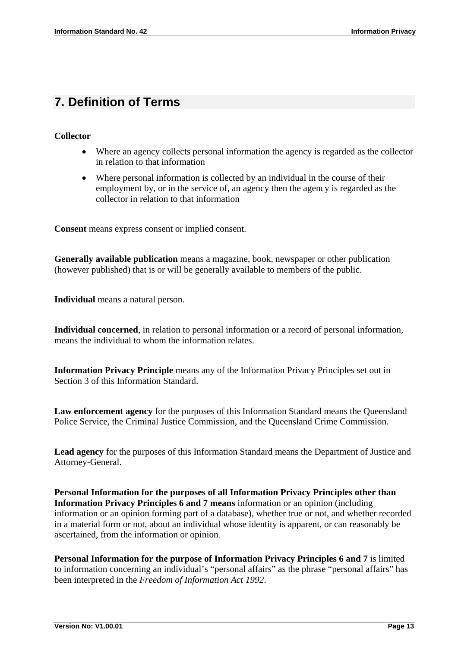### **7. Definition of Terms**

#### **Collector**

- Where an agency collects personal information the agency is regarded as the collector in relation to that information
- Where personal information is collected by an individual in the course of their employment by, or in the service of, an agency then the agency is regarded as the collector in relation to that information

**Consent** means express consent or implied consent.

**Generally available publication** means a magazine, book, newspaper or other publication (however published) that is or will be generally available to members of the public.

**Individual** means a natural person.

**Individual concerned**, in relation to personal information or a record of personal information, means the individual to whom the information relates.

**Information Privacy Principle** means any of the Information Privacy Principles set out in Section 3 of this Information Standard.

**Law enforcement agency** for the purposes of this Information Standard means the Queensland Police Service, the Criminal Justice Commission, and the Queensland Crime Commission.

**Lead agency** for the purposes of this Information Standard means the Department of Justice and Attorney-General.

**Personal Information for the purposes of all Information Privacy Principles other than Information Privacy Principles 6 and 7 means** information or an opinion (including information or an opinion forming part of a database), whether true or not, and whether recorded in a material form or not, about an individual whose identity is apparent, or can reasonably be ascertained, from the information or opinion.

**Personal Information for the purpose of Information Privacy Principles 6 and 7** is limited to information concerning an individual's "personal affairs" as the phrase "personal affairs" has been interpreted in the *Freedom of Information Act 1992*.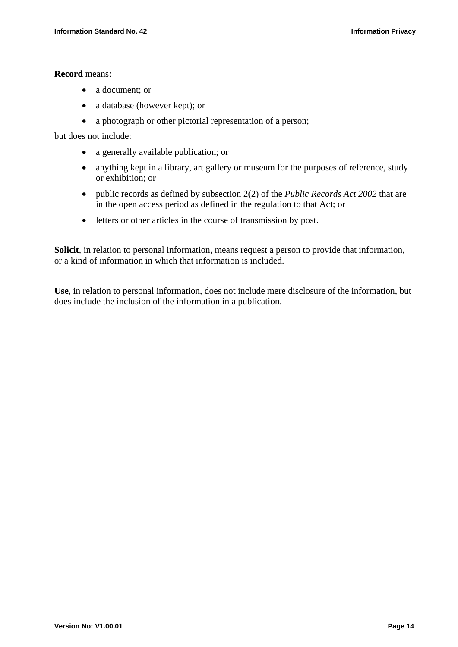**Record** means:

- a document; or
- a database (however kept); or
- a photograph or other pictorial representation of a person;

but does not include:

- a generally available publication; or
- anything kept in a library, art gallery or museum for the purposes of reference, study or exhibition; or
- public records as defined by subsection 2(2) of the *Public Records Act 2002* that are in the open access period as defined in the regulation to that Act; or
- letters or other articles in the course of transmission by post.

**Solicit**, in relation to personal information, means request a person to provide that information, or a kind of information in which that information is included.

**Use**, in relation to personal information, does not include mere disclosure of the information, but does include the inclusion of the information in a publication.